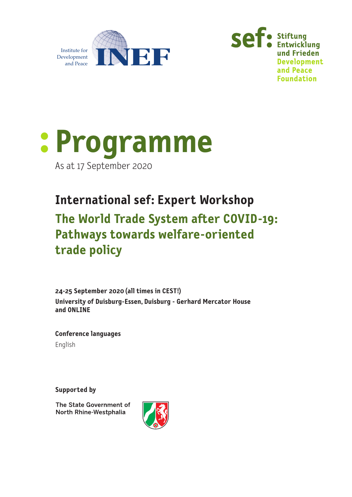





**International sef: Expert Workshop The World Trade System after COVID-19: Pathways towards welfare-oriented trade policy**

**24-25 September 2020 (all times in CEST!) University of Duisburg-Essen, Duisburg - Gerhard Mercator House and ONLINE**

**Conference languages** English

**Supported by**

The State Government of North Rhine-Westphalia

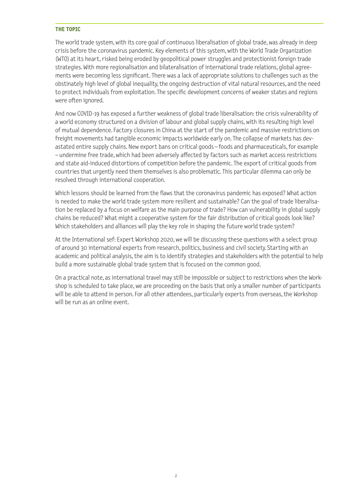#### **THE TOPIC**

The world trade system, with its core goal of continuous liberalisation of global trade, was already in deep crisis before the coronavirus pandemic. Key elements of this system, with the World Trade Organization (WTO) at its heart, risked being eroded by geopolitical power struggles and protectionist foreign trade strategies. With more regionalisation and bilateralisation of international trade relations, global agreements were becoming less significant. There was a lack of appropriate solutions to challenges such as the obstinately high level of global inequality, the ongoing destruction of vital natural resources, and the need to protect individuals from exploitation. The specific development concerns of weaker states and regions were often ignored.

And now COVID-19 has exposed a further weakness of global trade liberalisation: the crisis vulnerability of a world economy structured on a division of labour and global supply chains, with its resulting high level of mutual dependence. Factory closures in China at the start of the pandemic and massive restrictions on freight movements had tangible economic impacts worldwide early on. The collapse of markets has devastated entire supply chains. New export bans on critical goods – foods and pharmaceuticals, for example – undermine free trade, which had been adversely affected by factors such as market access restrictions and state aid-induced distortions of competition before the pandemic. The export of critical goods from countries that urgently need them themselves is also problematic. This particular dilemma can only be resolved through international cooperation.

Which lessons should be learned from the flaws that the coronavirus pandemic has exposed? What action is needed to make the world trade system more resilient and sustainable? Can the goal of trade liberalisation be replaced by a focus on welfare as the main purpose of trade? How can vulnerability in global supply chains be reduced? What might a cooperative system for the fair distribution of critical goods look like? Which stakeholders and alliances will play the key role in shaping the future world trade system?

At the International sef: Expert Workshop 2020, we will be discussing these questions with a select group of around 30 international experts from research, politics, business and civil society. Starting with an academic and political analysis, the aim is to identify strategies and stakeholders with the potential to help build a more sustainable global trade system that is focused on the common good.

On a practical note, as international travel may still be impossible or subject to restrictions when the Workshop is scheduled to take place, we are proceeding on the basis that only a smaller number of participants will be able to attend in person. For all other attendees, particularly experts from overseas, the Workshop will be run as an online event.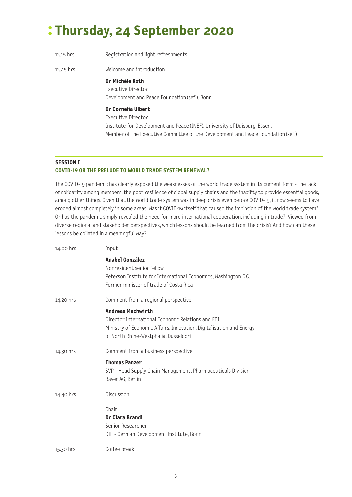# **: Thursday, 24 September 2020**

| 13.15 hrs | Registration and light refreshments                                                                                                                                                                       |
|-----------|-----------------------------------------------------------------------------------------------------------------------------------------------------------------------------------------------------------|
| 13.45 hrs | Welcome and introduction                                                                                                                                                                                  |
|           | Dr Michèle Roth<br>Executive Director<br>Development and Peace Foundation (sef.), Bonn                                                                                                                    |
|           | Dr Cornelia Ulbert<br>Executive Director<br>Institute for Development and Peace (INEF), University of Duisburg-Essen,<br>Member of the Executive Committee of the Development and Peace Foundation (sef.) |

#### **SESSION I**

## **COVID-19 OR THE PRELUDE TO WORLD TRADE SYSTEM RENEWAL?**

The COVID-19 pandemic has clearly exposed the weaknesses of the world trade system in its current form - the lack of solidarity among members, the poor resilience of global supply chains and the inability to provide essential goods, among other things. Given that the world trade system was in deep crisis even before COVID-19, it now seems to have eroded almost completely in some areas. Was it COVID-19 itself that caused the implosion of the world trade system? Or has the pandemic simply revealed the need for more international cooperation, including in trade? Viewed from diverse regional and stakeholder perspectives, which lessons should be learned from the crisis? And how can these lessons be collated in a meaningful way?

| 14.00 hrs | Input                                                                                                                                                                                         |
|-----------|-----------------------------------------------------------------------------------------------------------------------------------------------------------------------------------------------|
|           | Anabel González<br>Nonresident senior fellow<br>Peterson Institute for International Economics, Washington D.C.<br>Former minister of trade of Costa Rica                                     |
| 14.20 hrs | Comment from a regional perspective                                                                                                                                                           |
|           | <b>Andreas Machwirth</b><br>Director International Economic Relations and FDI<br>Ministry of Economic Affairs, Innovation, Digitalisation and Energy<br>of North Rhine-Westphalia, Dusseldorf |
| 14.30 hrs | Comment from a business perspective                                                                                                                                                           |
|           | <b>Thomas Panzer</b><br>SVP - Head Supply Chain Management, Pharmaceuticals Division<br>Bayer AG, Berlin                                                                                      |
| 14.40 hrs | Discussion                                                                                                                                                                                    |
|           | Chair<br>Dr Clara Brandi<br>Senior Researcher<br>DIE - German Development Institute, Bonn                                                                                                     |
| 15.30 hrs | Coffee break                                                                                                                                                                                  |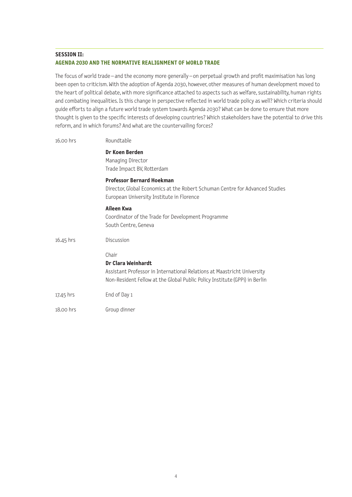### **SESSION II: AGENDA 2030 AND THE NORMATIVE REALIGNMENT OF WORLD TRADE**

The focus of world trade – and the economy more generally – on perpetual growth and profit maximisation has long been open to criticism. With the adoption of Agenda 2030, however, other measures of human development moved to the heart of political debate, with more significance attached to aspects such as welfare, sustainability, human rights and combating inequalities. Is this change in perspective reflected in world trade policy as well? Which criteria should guide efforts to align a future world trade system towards Agenda 2030? What can be done to ensure that more thought is given to the specific interests of developing countries? Which stakeholders have the potential to drive this reform, and in which forums? And what are the countervailing forces?

| 16.00 hrs | Roundtable                                                                                                                                                                           |
|-----------|--------------------------------------------------------------------------------------------------------------------------------------------------------------------------------------|
|           | Dr Koen Berden<br>Managing Director<br>Trade Impact BV, Rotterdam                                                                                                                    |
|           | <b>Professor Bernard Hoekman</b><br>Director, Global Economics at the Robert Schuman Centre for Advanced Studies<br>European University Institute in Florence                        |
|           | Aileen Kwa<br>Coordinator of the Trade for Development Programme<br>South Centre, Geneva                                                                                             |
| 16.45 hrs | Discussion                                                                                                                                                                           |
|           | Chair<br>Dr Clara Weinhardt<br>Assistant Professor in International Relations at Maastricht University<br>Non-Resident Fellow at the Global Public Policy Institute (GPPi) in Berlin |
| 17.45 hrs | End of Day 1                                                                                                                                                                         |
| 18.00 hrs | Group dinner                                                                                                                                                                         |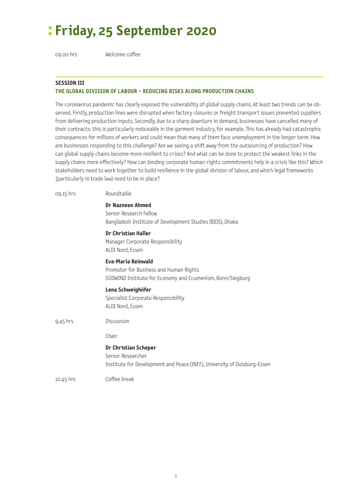# **: Friday, 25 September 2020**

09.00 hrs Welcome coffee

#### **SESSION III THE GLOBAL DIVISION OF LABOUR – REDUCING RISKS ALONG PRODUCTION CHAINS**

The coronavirus pandemic has clearly exposed the vulnerability of global supply chains. At least two trends can be observed. Firstly, production lines were disrupted when factory closures or freight transport issues prevented suppliers from delivering production inputs. Secondly, due to a sharp downturn in demand, businesses have cancelled many of their contracts: this is particularly noticeable in the garment industry, for example. This has already had catastrophic consequences for millions of workers and could mean that many of them face unemployment in the longer term. How are businesses responding to this challenge? Are we seeing a shift away from the outsourcing of production? How can global supply chains become more resilient to crises? And what can be done to protect the weakest links in the supply chains more effectively? How can binding corporate human rights commitments help in a crisis like this? Which stakeholders need to work together to build resilience in the global division of labour, and which legal frameworks (particularly in trade law) need to be in place?

| 09.15 hrs   | Roundtable                                                                                                                        |
|-------------|-----------------------------------------------------------------------------------------------------------------------------------|
|             | Dr Nazneen Ahmed<br>Senior Research Fellow<br>Bangladesh Institute of Development Studies (BIDS), Dhaka                           |
|             | Dr Christian Haller<br>Manager Corporate Responsibility<br>ALDI Nord, Essen                                                       |
|             | <b>Eva-Maria Reinwald</b><br>Promoter for Business and Human Rights<br>SÜDWIND Institute for Economy and Ecumenism, Bonn/Siegburg |
|             | Lena Schweighöfer<br>Specialist Corporate Responsibility<br>ALDI Nord, Essen                                                      |
| 9.45 hrs    | Discussion                                                                                                                        |
|             | Chair                                                                                                                             |
|             | <b>Dr Christian Scheper</b><br>Senior Researcher<br>Institute for Development and Peace (INEF), University of Duisburg-Essen      |
| $10.45$ hrs | Coffee break                                                                                                                      |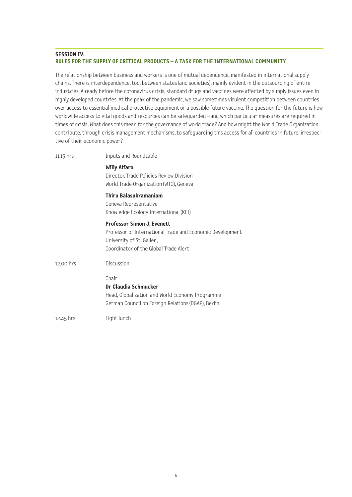#### **SESSION IV: RULES FOR THE SUPPLY OF CRITICAL PRODUCTS – A TASK FOR THE INTERNATIONAL COMMUNITY**

The relationship between business and workers is one of mutual dependence, manifested in international supply chains. There is interdependence, too, between states (and societies), mainly evident in the outsourcing of entire industries. Already before the coronavirus crisis, standard drugs and vaccines were affected by supply issues even in highly developed countries. At the peak of the pandemic, we saw sometimes virulent competition between countries over access to essential medical protective equipment or a possible future vaccine. The question for the future is how worldwide access to vital goods and resources can be safeguarded – and which particular measures are required in times of crisis. What does this mean for the governance of world trade? And how might the World Trade Organization contribute, through crisis management mechanisms, to safeguarding this access for all countries in future, irrespective of their economic power?

| 11.15 hrs | Inputs and Roundtable                                                                                                                                                |
|-----------|----------------------------------------------------------------------------------------------------------------------------------------------------------------------|
|           | <b>Willy Alfaro</b><br>Director, Trade Policies Review Division<br>World Trade Organization (WTO), Geneva                                                            |
|           | Thiru Balasubramaniam<br>Geneva Representative<br>Knowledge Ecology International (KEI)                                                                              |
|           | <b>Professor Simon J. Evenett</b><br>Professor of International Trade and Economic Development<br>University of St. Gallen,<br>Coordinator of the Global Trade Alert |
| 12.00 hrs | Discussion                                                                                                                                                           |
|           | Chair<br>Dr Claudia Schmucker<br>Head, Globalization and World Economy Programme<br>German Council on Foreign Relations (DGAP), Berlin                               |
| 12.45 hrs | Light lunch                                                                                                                                                          |